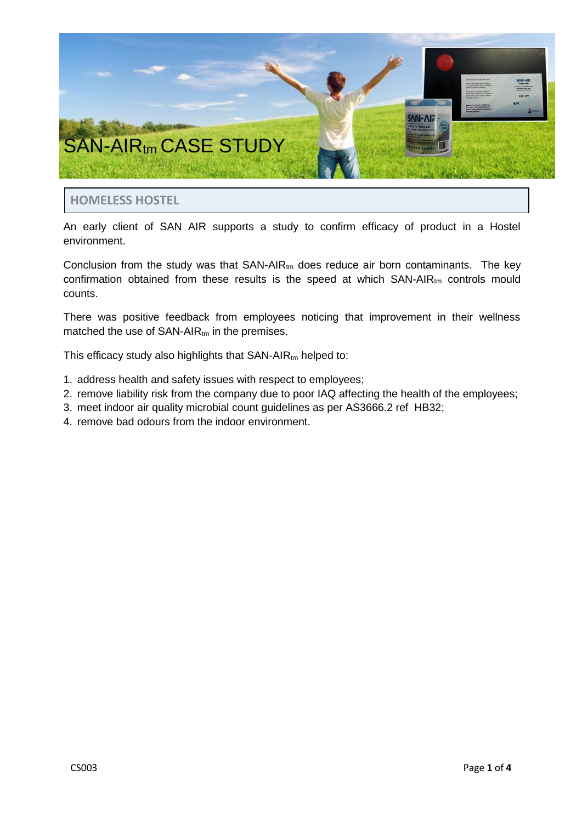

# **HOMELESS HOSTEL**

An early client of SAN AIR supports a study to confirm efficacy of product in a Hostel environment.

Conclusion from the study was that  $SAN-AIR_{tm}$  does reduce air born contaminants. The key confirmation obtained from these results is the speed at which  $SAN-AIR<sub>tm</sub>$  controls mould counts.

There was positive feedback from employees noticing that improvement in their wellness matched the use of  $SAN-AIR_{tm}$  in the premises.

This efficacy study also highlights that  $SAN-AIR_{tm}$  helped to:

- 1. address health and safety issues with respect to employees;
- 2. remove liability risk from the company due to poor IAQ affecting the health of the employees;
- 3. meet indoor air quality microbial count guidelines as per AS3666.2 ref HB32;
- 4. remove bad odours from the indoor environment.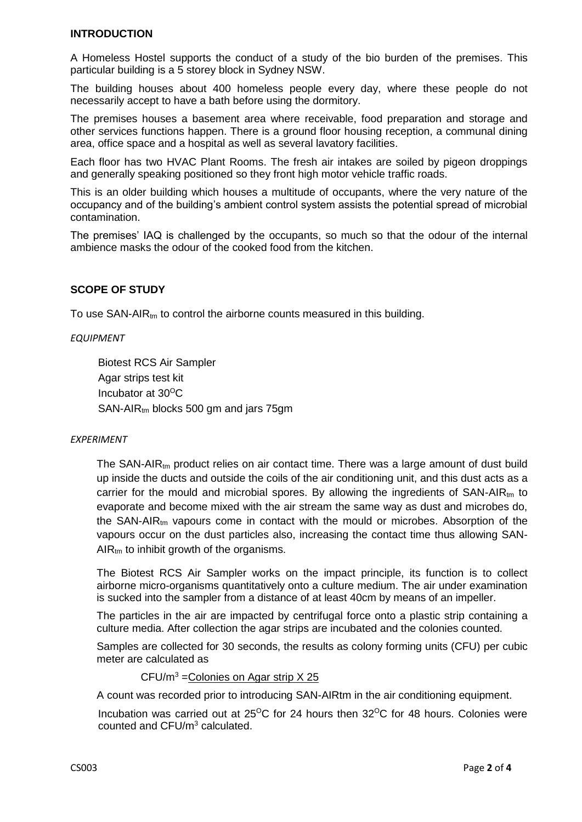### **INTRODUCTION**

A Homeless Hostel supports the conduct of a study of the bio burden of the premises. This particular building is a 5 storey block in Sydney NSW.

The building houses about 400 homeless people every day, where these people do not necessarily accept to have a bath before using the dormitory.

The premises houses a basement area where receivable, food preparation and storage and other services functions happen. There is a ground floor housing reception, a communal dining area, office space and a hospital as well as several lavatory facilities.

Each floor has two HVAC Plant Rooms. The fresh air intakes are soiled by pigeon droppings and generally speaking positioned so they front high motor vehicle traffic roads.

This is an older building which houses a multitude of occupants, where the very nature of the occupancy and of the building's ambient control system assists the potential spread of microbial contamination.

The premises' IAQ is challenged by the occupants, so much so that the odour of the internal ambience masks the odour of the cooked food from the kitchen.

### **SCOPE OF STUDY**

To use  $SAN-AIR_{tm}$  to control the airborne counts measured in this building.

#### *EQUIPMENT*

Biotest RCS Air Sampler Agar strips test kit Incubator at 30<sup>O</sup>C  $SAN-AIR_{tm}$  blocks 500 gm and jars 75gm

#### *EXPERIMENT*

The SAN-AIR $<sub>tm</sub>$  product relies on air contact time. There was a large amount of dust build</sub> up inside the ducts and outside the coils of the air conditioning unit, and this dust acts as a carrier for the mould and microbial spores. By allowing the ingredients of  $SAN-AIR_{tm}$  to evaporate and become mixed with the air stream the same way as dust and microbes do, the SAN-AIR<sub>tm</sub> vapours come in contact with the mould or microbes. Absorption of the vapours occur on the dust particles also, increasing the contact time thus allowing SAN- $AIR<sub>tm</sub>$  to inhibit growth of the organisms.

The Biotest RCS Air Sampler works on the impact principle, its function is to collect airborne micro-organisms quantitatively onto a culture medium. The air under examination is sucked into the sampler from a distance of at least 40cm by means of an impeller.

The particles in the air are impacted by centrifugal force onto a plastic strip containing a culture media. After collection the agar strips are incubated and the colonies counted.

Samples are collected for 30 seconds, the results as colony forming units (CFU) per cubic meter are calculated as

 $CFU/m<sup>3</sup> =$ Colonies on Agar strip  $X$  25

A count was recorded prior to introducing SAN-AIRtm in the air conditioning equipment.

Incubation was carried out at  $25^{\circ}$ C for 24 hours then  $32^{\circ}$ C for 48 hours. Colonies were counted and CFU/m<sup>3</sup> calculated.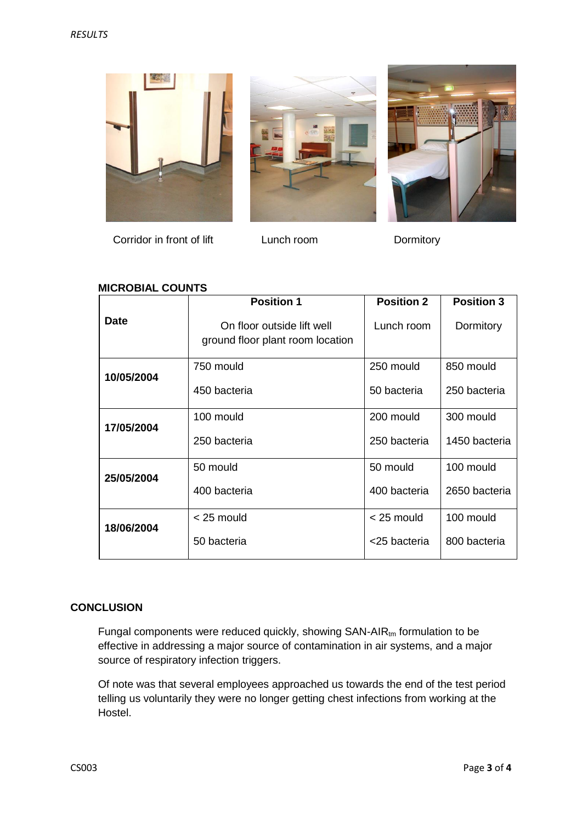





Corridor in front of lift Lunch room Dormitory

## **MICROBIAL COUNTS**

|             | <b>Position 1</b>                                              | <b>Position 2</b> | <b>Position 3</b> |
|-------------|----------------------------------------------------------------|-------------------|-------------------|
| <b>Date</b> | On floor outside lift well<br>ground floor plant room location | Lunch room        | Dormitory         |
| 10/05/2004  | 750 mould                                                      | 250 mould         | 850 mould         |
|             | 450 bacteria                                                   | 50 bacteria       | 250 bacteria      |
| 17/05/2004  | 100 mould                                                      | 200 mould         | 300 mould         |
|             | 250 bacteria                                                   | 250 bacteria      | 1450 bacteria     |
| 25/05/2004  | 50 mould                                                       | 50 mould          | 100 mould         |
|             | 400 bacteria                                                   | 400 bacteria      | 2650 bacteria     |
| 18/06/2004  | $<$ 25 mould                                                   | $<$ 25 mould      | 100 mould         |
|             | 50 bacteria                                                    | <25 bacteria      | 800 bacteria      |

## **CONCLUSION**

Fungal components were reduced quickly, showing  $SAN-AIR<sub>tm</sub>$  formulation to be effective in addressing a major source of contamination in air systems, and a major source of respiratory infection triggers.

Of note was that several employees approached us towards the end of the test period telling us voluntarily they were no longer getting chest infections from working at the Hostel.